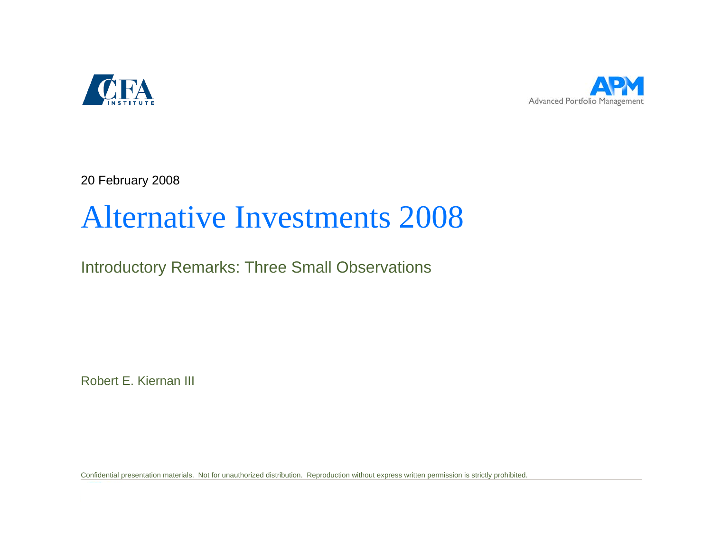



20 February 2008

# Alternative Investments 2008

Introductory Remarks: Three Small Observations

Robert E. Kiernan III

Confidential presentation materials. Not for unauthorized distribution. Reproduction without express written permission is strictly prohibited.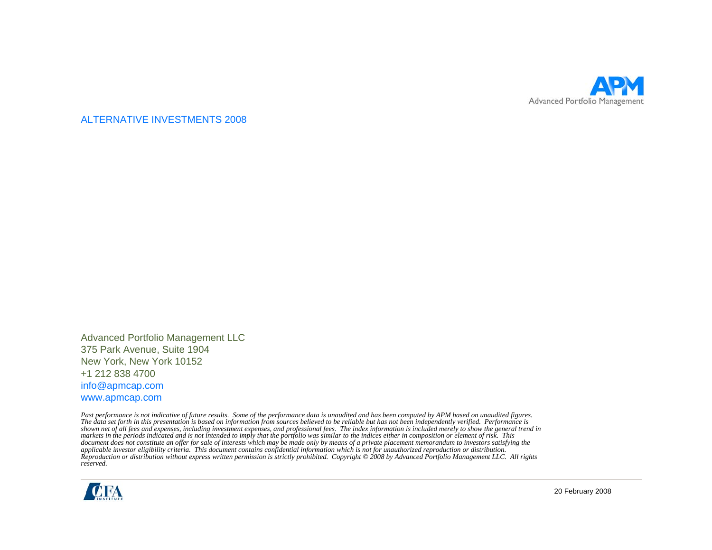

ALTERNATIVE INVESTMENTS 2008

Advanced Portfolio Management LLC 375 Park Avenue, Suite 1904 New York, New York 10152 +1 212 838 4700 info@apmcap.com www.apmcap.com

*Past performance is not indicative of future results. Some of the performance data is unaudited and has been computed by APM based on unaudited figures. The data set forth in this presentation is based on information from sources believed to be reliable but has not been independently verified. Performance is*  shown net of all fees and expenses, including investment expenses, and professional fees. The index information is included merely to show the general trend in<br>markets in the periods indicated and is not intended to imply *document does not constitute an offer for sale of interests which may be made only by means of a private placement memorandum to investors satisfying the applicable investor eligibility criteria. This document contains confidential information which is not for unauthorized reproduction or distribution. Reproduction or distribution without express written permission is strictly prohibited. Copyright © 2008 by Advanced Portfolio Management LLC. All rights reserved.* 



20 February 2008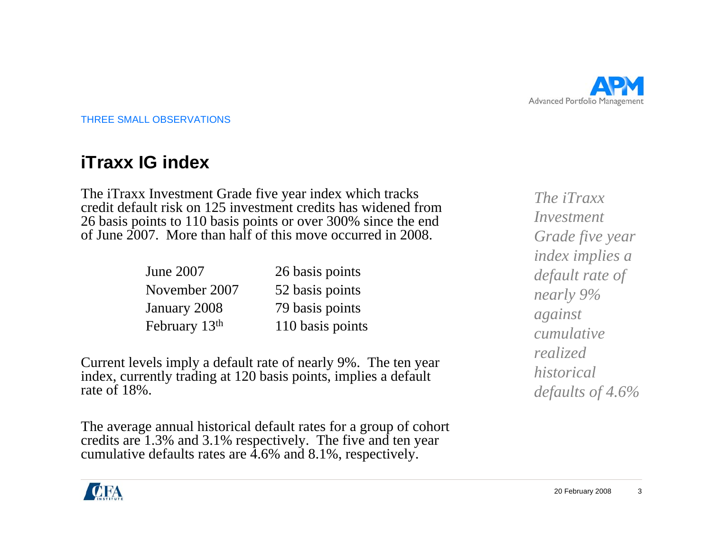

## **iTraxx IG index**

The iTraxx Investment Grade five year index which tracks credit default risk on 125 investment credits has widened from 26 basis points to 110 basis points or over 300% since the end of June 2007. More than half of this move occurred in 2008.

| June 2007                 | 26 basis points  |
|---------------------------|------------------|
| November 2007             | 52 basis points  |
| January 2008              | 79 basis points  |
| February 13 <sup>th</sup> | 110 basis points |

Current levels imply a default rate of nearly 9%. The ten year index, currently trading at 120 basis points, implies a default rate of 18%.

The average annual historical default rates for a group of cohort credits are 1.3% and 3.1% respectively. The five and ten year cumulative defaults rates are 4.6% and 8.1%, respectively.

*The iTraxxInvestment Grade five year index implies a default rate of nearly 9% against cumulative realized historical defaults of 4.6%*

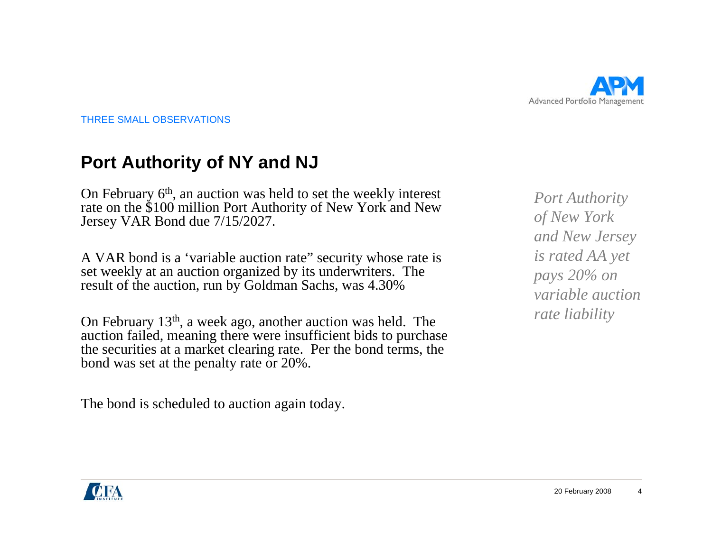

#### **Port Authority of NY and NJ**

On February 6<sup>th</sup>, an auction was held to set the weekly interest rate on the \$100 million Port Authority of New York and New Jersey VAR Bond due 7/15/2027.

A VAR bond is a 'variable auction rate" security whose rate is set weekly at an auction organized by its underwriters. The result of the auction, run by Goldman Sachs, was 4.30%

On February 13th, a week ago, another auction was held. The auction failed, meaning there were insufficient bids to purchase the securities at a market clearing rate. Per the bond terms, the bond was set at the penalty rate or 20%.

The bond is scheduled to auction again today.

*Port Authority of New York and New Jersey is rated AA yet pays 20% on variable auction rate liability*

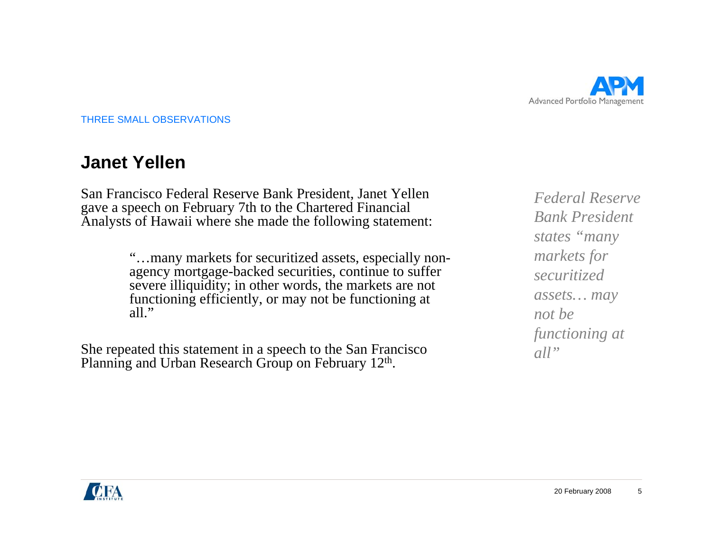

#### **Janet Yellen**

San Francisco Federal Reserve Bank President, Janet Yellen gave a speech on February 7th to the Chartered Financial Analysts of Hawaii where she made the following statement:

> "…many markets for securitized assets, especially nonagency mortgage-backed securities, continue to suffer severe illiquidity; in other words, the markets are not functioning efficiently, or may not be functioning at all."

She repeated this statement in a speech to the San Francisco Planning and Urban Research Group on February 12<sup>th</sup>.

*Federal Reserve Bank President states "many markets for securitized assets… may not be functioning at all"*

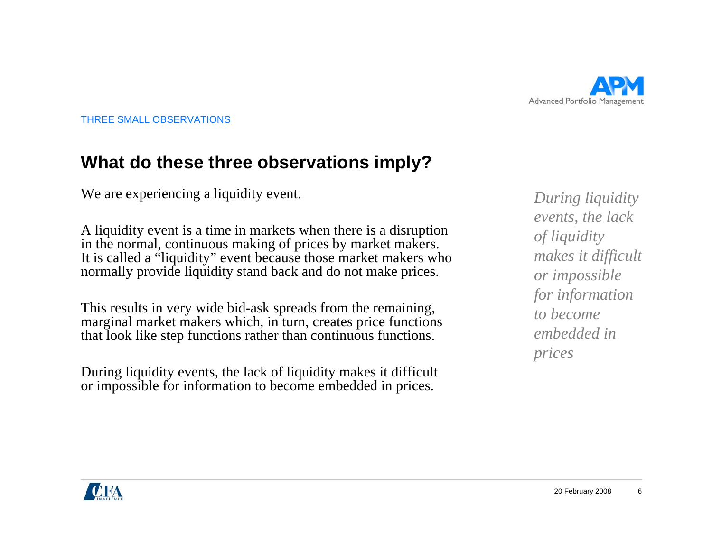

#### **What do these three observations imply?**

We are experiencing a liquidity event.

A liquidity event is a time in markets when there is a disruption in the normal, continuous making of prices by market makers. It is called a "liquidity" event because those market makers who normally provide liquidity stand back and do not make prices.

This results in very wide bid-ask spreads from the remaining, marginal market makers which, in turn, creates price functions that look like step functions rather than continuous functions.

During liquidity events, the lack of liquidity makes it difficult or impossible for information to become embedded in prices.

*During liquidity events, the lack of liquidity makes it difficult or impossible for information to become embedded in prices*

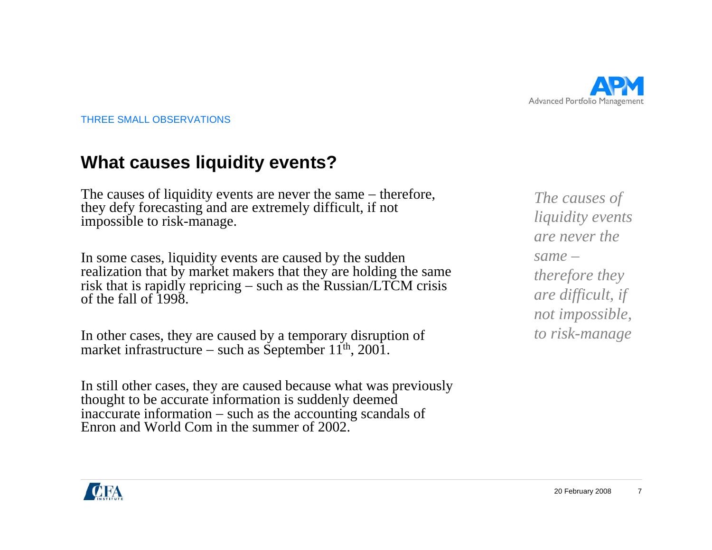

#### **What causes liquidity events?**

The causes of liquidity events are never the same – therefore, they defy forecasting and are extremely difficult, if not impossible to risk-manage.

In some cases, liquidity events are caused by the sudden realization that by market makers that they are holding the same risk that is rapidly repricing – such as the Russian/LTCM crisis of the fall of 1998.

In other cases, they are caused by a temporary disruption of market infrastructure − such as September 11<sup>th</sup>, 2001.

In still other cases, they are caused because what was previously thought to be accurate information is suddenly deemed inaccurate information – such as the accounting scandals of Enron and World Com in the summer of 2002.

*The causes of liquidity events are never the same –therefore they are difficult, if not impossible, to risk-manage*

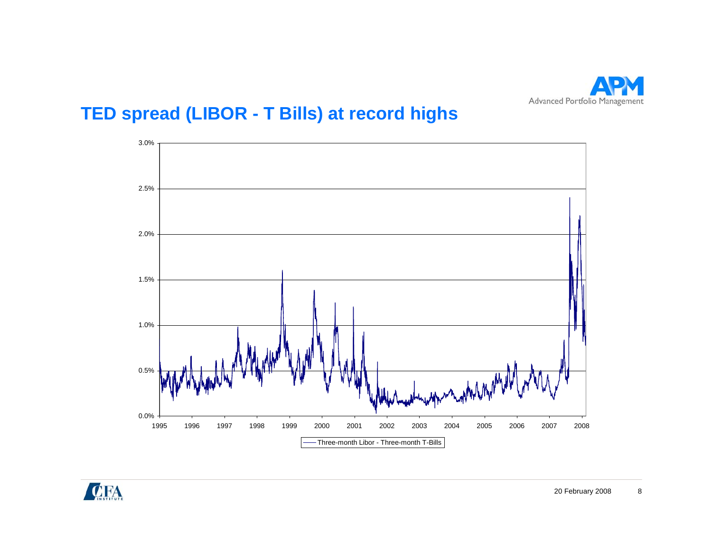

# **TED spread (LIBOR - T Bills) at record highs**



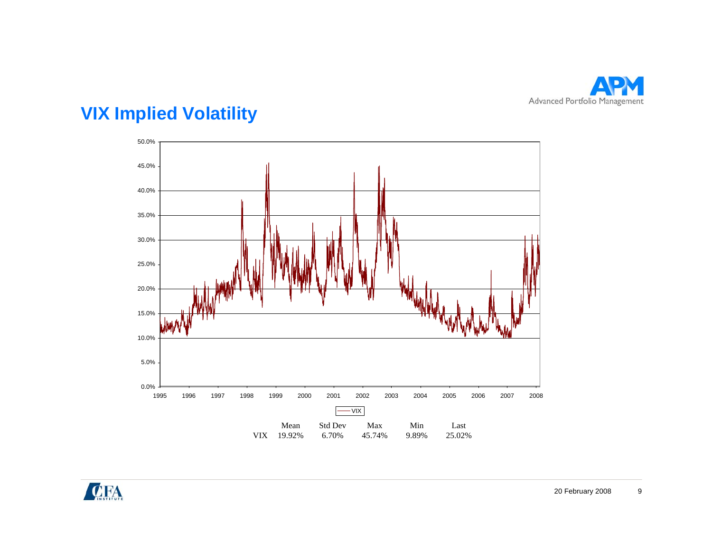

# **VIX Implied Volatility**



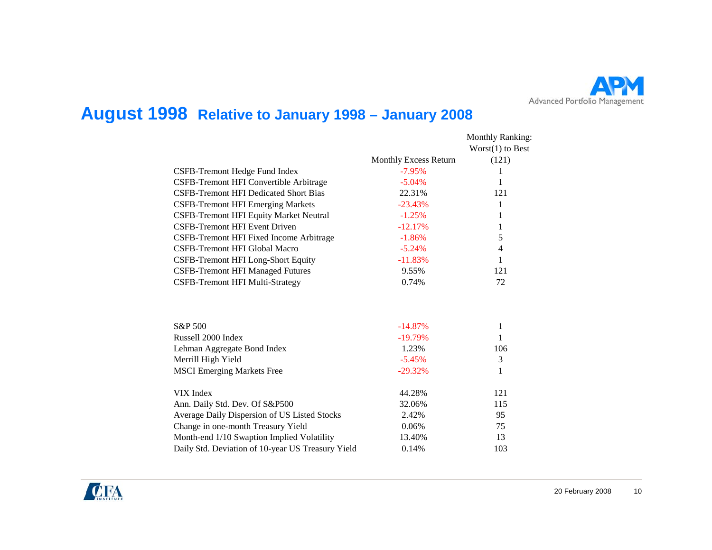

### **August 1998 Relative to January 1998 – January 2008**

|                                                   |                              | <b>Monthly Ranking:</b><br>$Worst(1)$ to Best |
|---------------------------------------------------|------------------------------|-----------------------------------------------|
|                                                   | <b>Monthly Excess Return</b> | (121)                                         |
| CSFB-Tremont Hedge Fund Index                     | $-7.95%$                     | 1                                             |
| CSFB-Tremont HFI Convertible Arbitrage            | $-5.04%$                     | 1                                             |
| <b>CSFB-Tremont HFI Dedicated Short Bias</b>      | 22.31%                       | 121                                           |
| <b>CSFB-Tremont HFI Emerging Markets</b>          | $-23.43%$                    | 1                                             |
| <b>CSFB-Tremont HFI Equity Market Neutral</b>     | $-1.25%$                     | 1                                             |
| <b>CSFB-Tremont HFI Event Driven</b>              | $-12.17%$                    | 1                                             |
| CSFB-Tremont HFI Fixed Income Arbitrage           | $-1.86%$                     | 5                                             |
| CSFB-Tremont HFI Global Macro                     | $-5.24%$                     | 4                                             |
| <b>CSFB-Tremont HFI Long-Short Equity</b>         | $-11.83%$                    | 1                                             |
| <b>CSFB-Tremont HFI Managed Futures</b>           | 9.55%                        | 121                                           |
| <b>CSFB-Tremont HFI Multi-Strategy</b>            | 0.74%                        | 72                                            |
|                                                   |                              |                                               |
| S&P 500                                           | $-14.87%$                    | 1                                             |
| Russell 2000 Index                                | $-19.79%$                    | 1                                             |
| Lehman Aggregate Bond Index                       | 1.23%                        | 106                                           |
| Merrill High Yield                                | $-5.45%$                     | 3                                             |
| <b>MSCI</b> Emerging Markets Free                 | $-29.32%$                    | 1                                             |
| VIX Index                                         | 44.28%                       | 121                                           |
| Ann. Daily Std. Dev. Of S&P500                    | 32.06%                       | 115                                           |
| Average Daily Dispersion of US Listed Stocks      | 2.42%                        | 95                                            |
| Change in one-month Treasury Yield                | 0.06%                        | 75                                            |
| Month-end 1/10 Swaption Implied Volatility        | 13.40%                       | 13                                            |
| Daily Std. Deviation of 10-year US Treasury Yield | 0.14%                        | 103                                           |

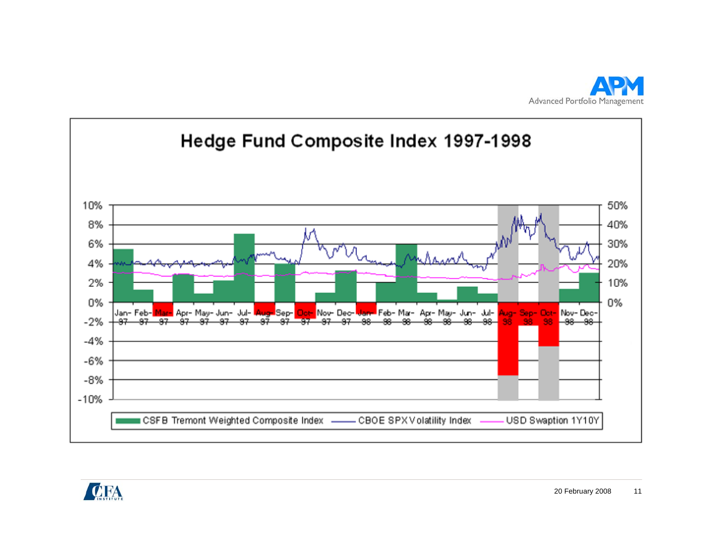



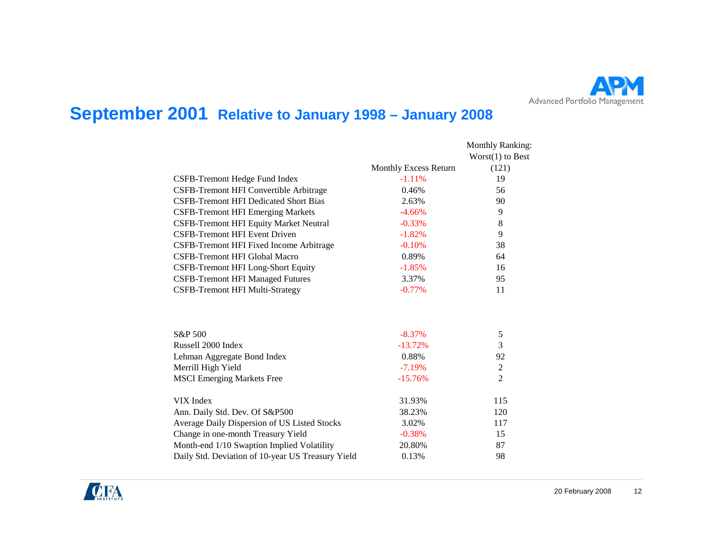

### **September 2001 Relative to January 1998 – January 2008**

|                                                   |                       | <b>Monthly Ranking:</b><br>$Worst(1)$ to Best |
|---------------------------------------------------|-----------------------|-----------------------------------------------|
|                                                   | Monthly Excess Return | (121)                                         |
| CSFB-Tremont Hedge Fund Index                     | $-1.11%$              | 19                                            |
| CSFB-Tremont HFI Convertible Arbitrage            | 0.46%                 | 56                                            |
| <b>CSFB-Tremont HFI Dedicated Short Bias</b>      | 2.63%                 | 90                                            |
| <b>CSFB-Tremont HFI Emerging Markets</b>          | $-4.66%$              | 9                                             |
| CSFB-Tremont HFI Equity Market Neutral            | $-0.33%$              | 8                                             |
| <b>CSFB-Tremont HFI Event Driven</b>              | $-1.82%$              | 9                                             |
| CSFB-Tremont HFI Fixed Income Arbitrage           | $-0.10%$              | 38                                            |
| CSFB-Tremont HFI Global Macro                     | 0.89%                 | 64                                            |
| CSFB-Tremont HFI Long-Short Equity                | $-1.85%$              | 16                                            |
| <b>CSFB-Tremont HFI Managed Futures</b>           | 3.37%                 | 95                                            |
| CSFB-Tremont HFI Multi-Strategy                   | $-0.77%$              | 11                                            |
| S&P 500                                           | $-8.37%$              | 5                                             |
| Russell 2000 Index                                | $-13.72%$             | 3                                             |
| Lehman Aggregate Bond Index                       | 0.88%                 | 92                                            |
| Merrill High Yield                                | $-7.19%$              | $\mathbf{2}$                                  |
| <b>MSCI</b> Emerging Markets Free                 | $-15.76%$             | $\overline{2}$                                |
| VIX Index                                         | 31.93%                | 115                                           |
| Ann. Daily Std. Dev. Of S&P500                    | 38.23%                | 120                                           |
| Average Daily Dispersion of US Listed Stocks      | 3.02%                 | 117                                           |
| Change in one-month Treasury Yield                | $-0.38%$              | 15                                            |
| Month-end 1/10 Swaption Implied Volatility        | 20.80%                | 87                                            |
| Daily Std. Deviation of 10-year US Treasury Yield | 0.13%                 | 98                                            |

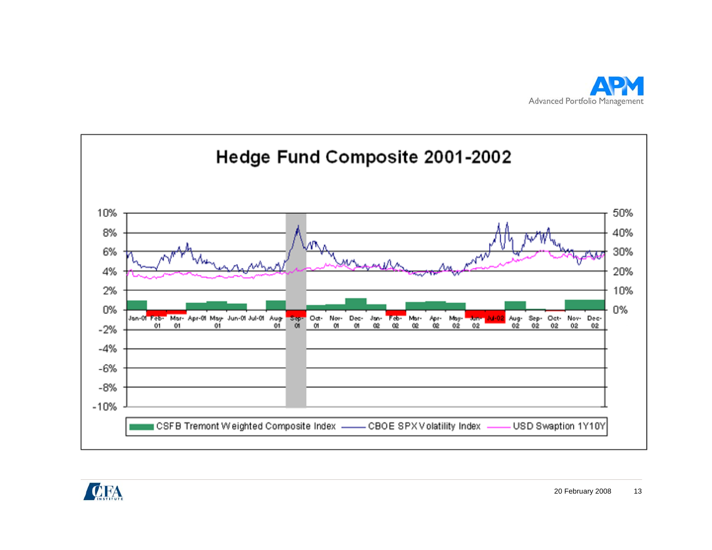



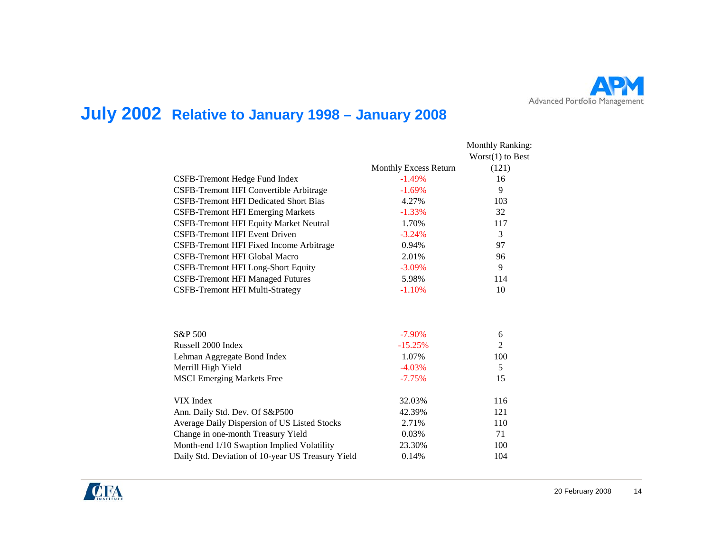

## **July 2002 Relative to January 1998 – January 2008**

|                                                   |                       | <b>Monthly Ranking:</b><br>$Worst(1)$ to Best |
|---------------------------------------------------|-----------------------|-----------------------------------------------|
|                                                   | Monthly Excess Return | (121)                                         |
| CSFB-Tremont Hedge Fund Index                     | $-1.49%$              | 16                                            |
| CSFB-Tremont HFI Convertible Arbitrage            | $-1.69%$              | 9                                             |
| <b>CSFB-Tremont HFI Dedicated Short Bias</b>      | 4.27%                 | 103                                           |
| <b>CSFB-Tremont HFI Emerging Markets</b>          | $-1.33%$              | 32                                            |
| <b>CSFB-Tremont HFI Equity Market Neutral</b>     | 1.70%                 | 117                                           |
| <b>CSFB-Tremont HFI Event Driven</b>              | $-3.24%$              | 3                                             |
| CSFB-Tremont HFI Fixed Income Arbitrage           | 0.94%                 | 97                                            |
| <b>CSFB-Tremont HFI Global Macro</b>              | 2.01%                 | 96                                            |
| CSFB-Tremont HFI Long-Short Equity                | $-3.09%$              | 9                                             |
| <b>CSFB-Tremont HFI Managed Futures</b>           | 5.98%                 | 114                                           |
| <b>CSFB-Tremont HFI Multi-Strategy</b>            | $-1.10%$              | 10                                            |
| S&P 500                                           | $-7.90\%$             | 6                                             |
| Russell 2000 Index                                | $-15.25%$             | $\overline{2}$                                |
| Lehman Aggregate Bond Index                       | 1.07%                 | 100                                           |
| Merrill High Yield                                | $-4.03%$              | 5                                             |
| <b>MSCI Emerging Markets Free</b>                 | $-7.75%$              | 15                                            |
| VIX Index                                         | 32.03%                | 116                                           |
| Ann. Daily Std. Dev. Of S&P500                    | 42.39%                | 121                                           |
| Average Daily Dispersion of US Listed Stocks      | 2.71%                 | 110                                           |
| Change in one-month Treasury Yield                | 0.03%                 | 71                                            |
| Month-end 1/10 Swaption Implied Volatility        | 23.30%                | 100                                           |
| Daily Std. Deviation of 10-year US Treasury Yield | 0.14%                 | 104                                           |

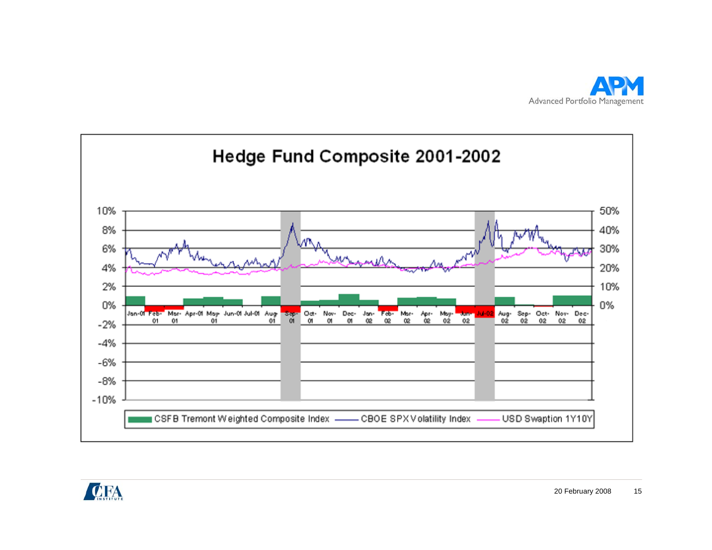



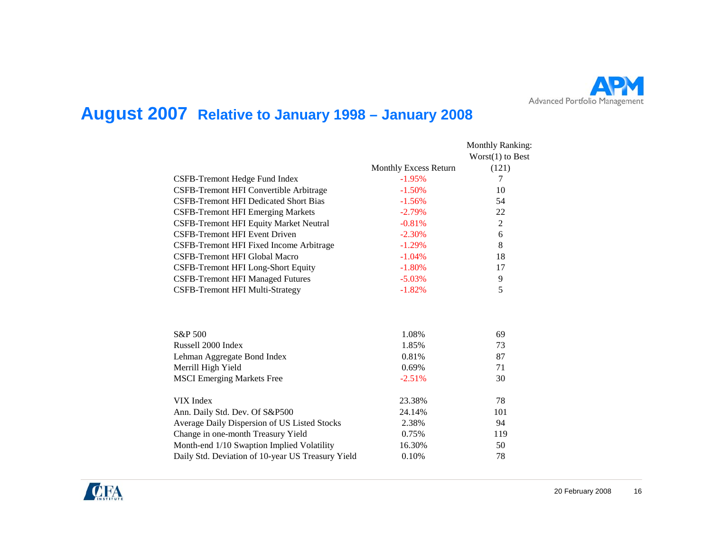

### **August 2007 Relative to January 1998 – January 2008**

|                                                   |                       | <b>Monthly Ranking:</b><br>$Worst(1)$ to Best |
|---------------------------------------------------|-----------------------|-----------------------------------------------|
|                                                   | Monthly Excess Return | (121)                                         |
| CSFB-Tremont Hedge Fund Index                     | $-1.95%$              | 7                                             |
| CSFB-Tremont HFI Convertible Arbitrage            | $-1.50%$              | 10                                            |
| <b>CSFB-Tremont HFI Dedicated Short Bias</b>      | $-1.56%$              | 54                                            |
| <b>CSFB-Tremont HFI Emerging Markets</b>          | $-2.79%$              | 22                                            |
| CSFB-Tremont HFI Equity Market Neutral            | $-0.81%$              | $\overline{2}$                                |
| <b>CSFB-Tremont HFI Event Driven</b>              | $-2.30%$              | 6                                             |
| CSFB-Tremont HFI Fixed Income Arbitrage           | $-1.29%$              | 8                                             |
| CSFB-Tremont HFI Global Macro                     | $-1.04%$              | 18                                            |
| CSFB-Tremont HFI Long-Short Equity                | $-1.80%$              | 17                                            |
| <b>CSFB-Tremont HFI Managed Futures</b>           | $-5.03%$              | 9                                             |
| <b>CSFB-Tremont HFI Multi-Strategy</b>            | $-1.82%$              | 5                                             |
|                                                   |                       |                                               |
| S&P 500                                           | 1.08%                 | 69                                            |
| Russell 2000 Index                                | 1.85%                 | 73                                            |
| Lehman Aggregate Bond Index                       | 0.81%                 | 87                                            |
| Merrill High Yield                                | 0.69%                 | 71                                            |
| <b>MSCI</b> Emerging Markets Free                 | $-2.51%$              | 30                                            |
| VIX Index                                         | 23.38%                | 78                                            |
| Ann. Daily Std. Dev. Of S&P500                    | 24.14%                | 101                                           |
| Average Daily Dispersion of US Listed Stocks      | 2.38%                 | 94                                            |
| Change in one-month Treasury Yield                | 0.75%                 | 119                                           |
| Month-end 1/10 Swaption Implied Volatility        | 16.30%                | 50                                            |
| Daily Std. Deviation of 10-year US Treasury Yield | 0.10%                 | 78                                            |

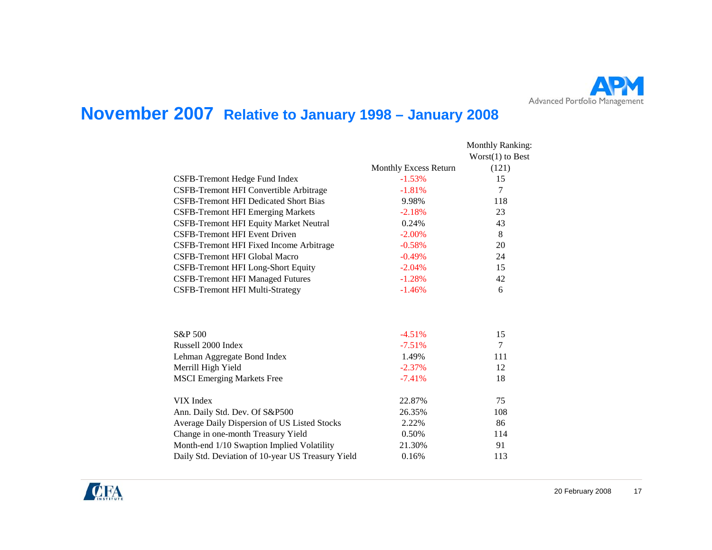

### **November 2007 Relative to January 1998 – January 2008**

|                                                   |                       | <b>Monthly Ranking:</b><br>$Worst(1)$ to Best |
|---------------------------------------------------|-----------------------|-----------------------------------------------|
|                                                   | Monthly Excess Return | (121)                                         |
| CSFB-Tremont Hedge Fund Index                     | $-1.53%$              | 15                                            |
| CSFB-Tremont HFI Convertible Arbitrage            | $-1.81%$              | 7                                             |
| <b>CSFB-Tremont HFI Dedicated Short Bias</b>      | 9.98%                 | 118                                           |
| <b>CSFB-Tremont HFI Emerging Markets</b>          | $-2.18%$              | 23                                            |
| CSFB-Tremont HFI Equity Market Neutral            | 0.24%                 | 43                                            |
| <b>CSFB-Tremont HFI Event Driven</b>              | $-2.00%$              | 8                                             |
| CSFB-Tremont HFI Fixed Income Arbitrage           | $-0.58%$              | 20                                            |
| CSFB-Tremont HFI Global Macro                     | $-0.49%$              | 24                                            |
| CSFB-Tremont HFI Long-Short Equity                | $-2.04%$              | 15                                            |
| <b>CSFB-Tremont HFI Managed Futures</b>           | $-1.28%$              | 42                                            |
| <b>CSFB-Tremont HFI Multi-Strategy</b>            | $-1.46%$              | 6                                             |
|                                                   |                       |                                               |
| S&P 500                                           | $-4.51%$              | 15                                            |
| Russell 2000 Index                                | $-7.51%$              | $\tau$                                        |
| Lehman Aggregate Bond Index                       | 1.49%                 | 111                                           |
| Merrill High Yield                                | $-2.37%$              | 12                                            |
| <b>MSCI</b> Emerging Markets Free                 | $-7.41%$              | 18                                            |
| VIX Index                                         | 22.87%                | 75                                            |
| Ann. Daily Std. Dev. Of S&P500                    | 26.35%                | 108                                           |
| Average Daily Dispersion of US Listed Stocks      | 2.22%                 | 86                                            |
| Change in one-month Treasury Yield                | 0.50%                 | 114                                           |
| Month-end 1/10 Swaption Implied Volatility        | 21.30%                | 91                                            |
| Daily Std. Deviation of 10-year US Treasury Yield | 0.16%                 | 113                                           |

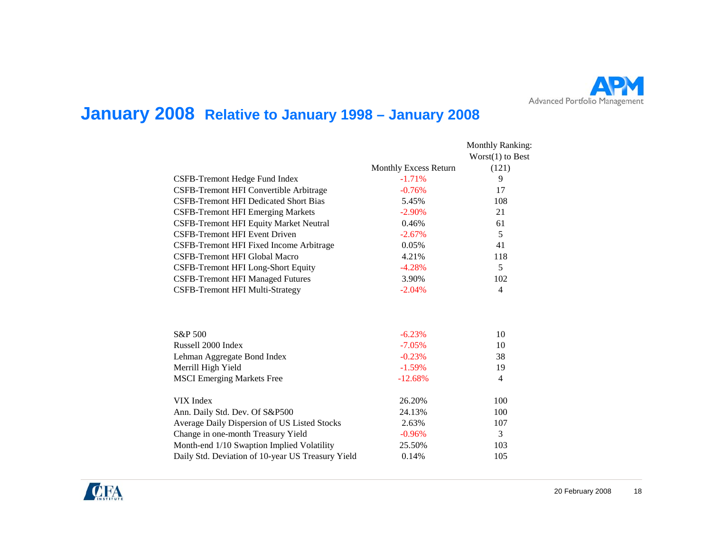

### **January 2008 Relative to January 1998 – January 2008**

|                                                   |                       | <b>Monthly Ranking:</b>          |
|---------------------------------------------------|-----------------------|----------------------------------|
|                                                   | Monthly Excess Return | $Worst(1)$ to Best<br>(121)<br>9 |
|                                                   |                       |                                  |
| CSFB-Tremont Hedge Fund Index                     | $-1.71%$              |                                  |
| CSFB-Tremont HFI Convertible Arbitrage            | $-0.76%$              | 17                               |
| <b>CSFB-Tremont HFI Dedicated Short Bias</b>      | 5.45%                 | 108                              |
| <b>CSFB-Tremont HFI Emerging Markets</b>          | $-2.90\%$             | 21                               |
| <b>CSFB-Tremont HFI Equity Market Neutral</b>     | 0.46%                 | 61                               |
| CSFB-Tremont HFI Event Driven                     | $-2.67%$              | 5                                |
| CSFB-Tremont HFI Fixed Income Arbitrage           | 0.05%                 | 41                               |
| <b>CSFB-Tremont HFI Global Macro</b>              | 4.21%                 | 118                              |
| CSFB-Tremont HFI Long-Short Equity                | $-4.28%$              | 5                                |
| <b>CSFB-Tremont HFI Managed Futures</b>           | 3.90%                 | 102                              |
| <b>CSFB-Tremont HFI Multi-Strategy</b>            | $-2.04%$              | $\overline{4}$                   |
|                                                   |                       |                                  |
| S&P 500                                           | $-6.23%$              | 10                               |
| Russell 2000 Index                                | $-7.05%$              | 10                               |
| Lehman Aggregate Bond Index                       | $-0.23%$              | 38                               |
| Merrill High Yield                                | $-1.59%$              | 19                               |
| <b>MSCI Emerging Markets Free</b>                 | $-12.68%$             | $\overline{4}$                   |
| VIX Index                                         | 26.20%                | 100                              |
| Ann. Daily Std. Dev. Of S&P500                    | 24.13%                | 100                              |
| Average Daily Dispersion of US Listed Stocks      | 2.63%                 | 107                              |
| Change in one-month Treasury Yield                | $-0.96%$              | 3                                |
| Month-end 1/10 Swaption Implied Volatility        | 25.50%                | 103                              |
| Daily Std. Deviation of 10-year US Treasury Yield | 0.14%                 | 105                              |

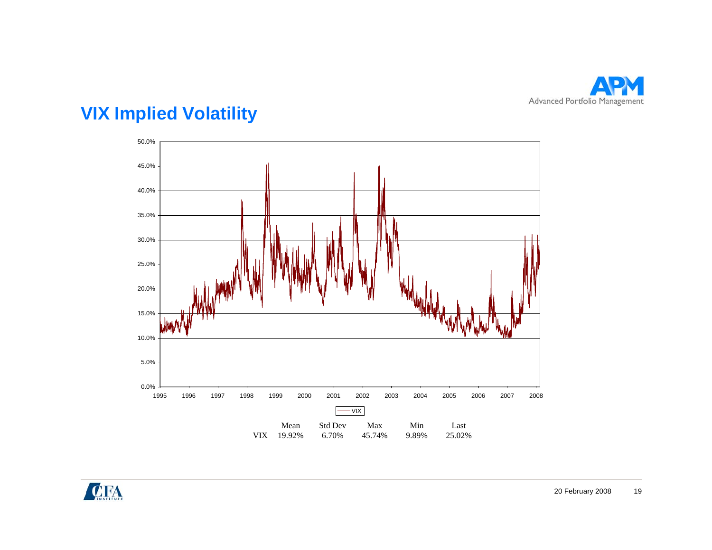

# **VIX Implied Volatility**



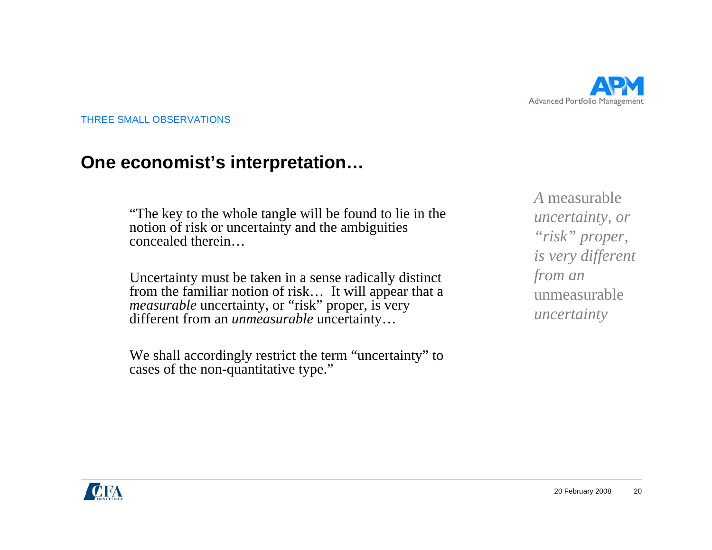

#### **One economist's interpretation…**

"The key to the whole tangle will be found to lie in the notion of risk or uncertainty and the ambiguities concealed therein…

Uncertainty must be taken in a sense radically distinct from the familiar notion of risk… It will appear that a *measurable* uncertainty, or "risk" proper, is very different from an *unmeasurable* uncertainty…

We shall accordingly restrict the term "uncertainty" to cases of the non-quantitative type."

*A* measurable *uncertainty, or "risk" proper, is very different from an*  unmeasurable*uncertainty*

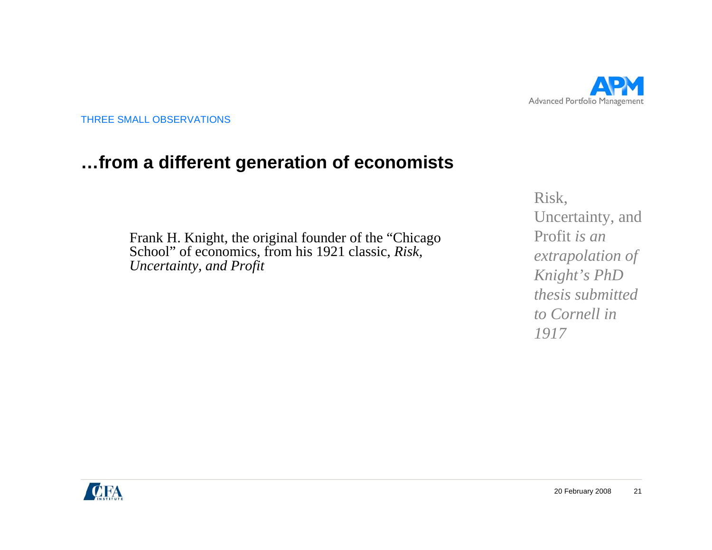

### **…from a different generation of economists**

Frank H. Knight, the original founder of the "Chicago School" of economics, from his 1921 classic, *Risk, Uncertainty, and Profit*

Risk, Uncertainty, and Profit *is an extrapolation of Knight's PhD thesis submitted to Cornell in 1917*

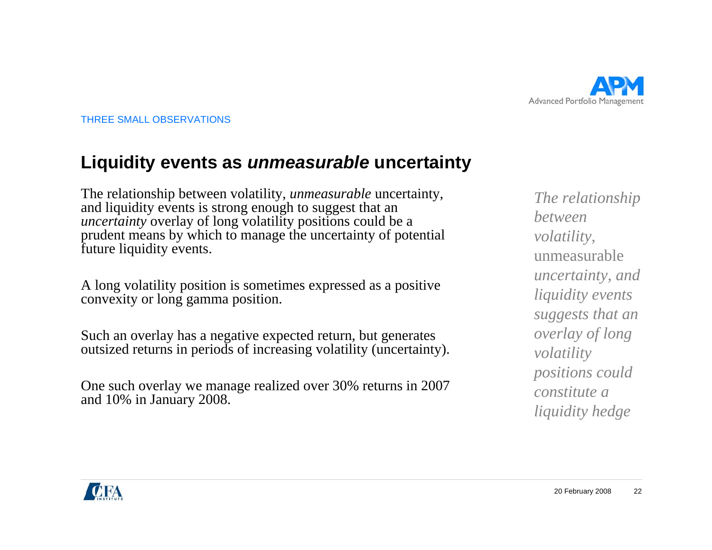

#### **Liquidity events as** *unmeasurable* **uncertainty**

The relationship between volatility, *unmeasurable* uncertainty, and liquidity events is strong enough to suggest that an *uncertainty* overlay of long volatility positions could be a prudent means by which to manage the uncertainty of potential future liquidity events.

A long volatility position is sometimes expressed as a positive convexity or long gamma position.

Such an overlay has a negative expected return, but generates outsized returns in periods of increasing volatility (uncertainty).

One such overlay we manage realized over 30% returns in 2007 and 10% in January 2008.

*The relationship between volatility,*  unmeasurable*uncertainty, and liquidity events suggests that an overlay of long volatility positions could constitute a liquidity hedge*